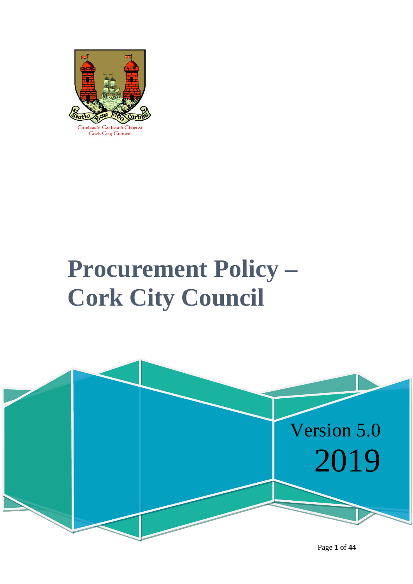

Comhairle Cachrach Chorcaí Cork City Council

# **Procurement Policy – Cork City Council**



Page **1** of **44**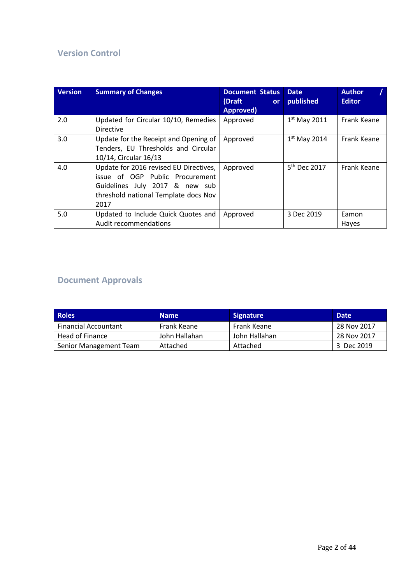#### **Version Control**

| <b>Version</b> | <b>Summary of Changes</b>                                                                                                                                   | <b>Document Status</b><br>(Draft<br><b>or</b><br>Approved) | <b>Date</b><br>published | <b>Author</b><br><b>Editor</b> |
|----------------|-------------------------------------------------------------------------------------------------------------------------------------------------------------|------------------------------------------------------------|--------------------------|--------------------------------|
| 2.0            | Updated for Circular 10/10, Remedies<br><b>Directive</b>                                                                                                    | Approved                                                   | $1st$ May 2011           | Frank Keane                    |
| 3.0            | Update for the Receipt and Opening of<br>Tenders, EU Thresholds and Circular<br>10/14, Circular 16/13                                                       | Approved                                                   | $1st$ May 2014           | Frank Keane                    |
| 4.0            | Update for 2016 revised EU Directives,<br>issue of OGP Public Procurement<br>Guidelines July 2017 & new sub<br>threshold national Template docs Nov<br>2017 | Approved                                                   | 5 <sup>th</sup> Dec 2017 | Frank Keane                    |
| 5.0            | Updated to Include Quick Quotes and<br>Audit recommendations                                                                                                | Approved                                                   | 3 Dec 2019               | Eamon<br>Hayes                 |

### **Document Approvals**

| <b>Roles</b>                | <b>Name</b>   | <b>Signature</b> | <b>Date</b> |
|-----------------------------|---------------|------------------|-------------|
| <b>Financial Accountant</b> | Frank Keane   | Frank Keane      | 28 Nov 2017 |
| Head of Finance             | John Hallahan | John Hallahan    | 28 Nov 2017 |
| Senior Management Team      | Attached      | Attached         | 3 Dec 2019  |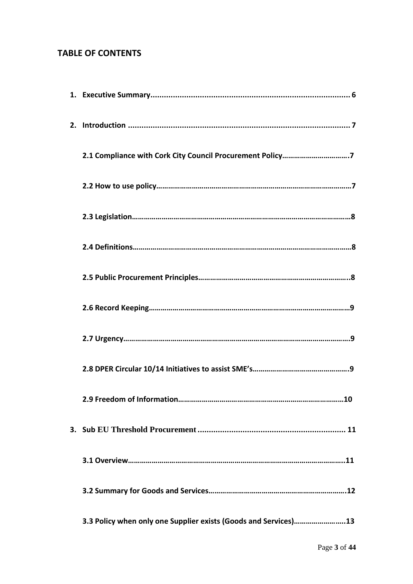#### **TABLE OF CONTENTS**

| 3.3 Policy when only one Supplier exists (Goods and Services)13 |
|-----------------------------------------------------------------|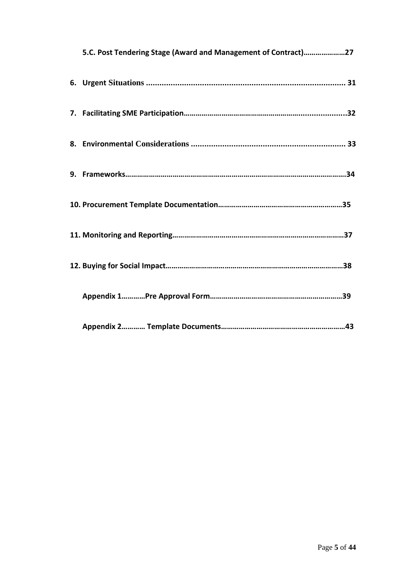| 5.C. Post Tendering Stage (Award and Management of Contract)27 |  |
|----------------------------------------------------------------|--|
|                                                                |  |
|                                                                |  |
|                                                                |  |
|                                                                |  |
|                                                                |  |
|                                                                |  |
|                                                                |  |
|                                                                |  |
|                                                                |  |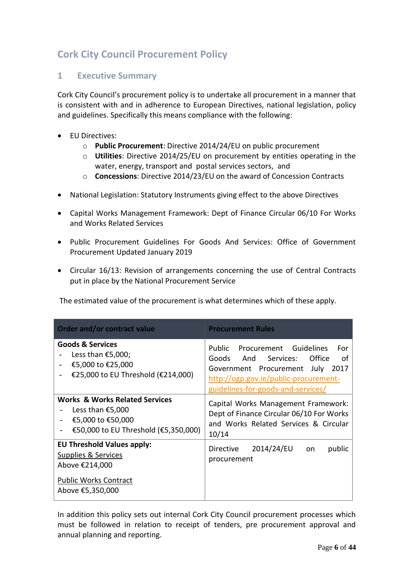### **Cork City Council Procurement Policy**

#### <span id="page-5-0"></span>**1 Executive Summary**

Cork City Council's procurement policy is to undertake all procurement in a manner that is consistent with and in adherence to European Directives, national legislation, policy and guidelines. Specifically this means compliance with the following:

- EU Directives:
	- o **Public Procurement**: Directive 2014/24/EU on public procurement
	- o **Utilities**: Directive 2014/25/EU on procurement by entities operating in the water, energy, transport and postal services sectors, and
	- o **Concessions**: Directive 2014/23/EU on the award of Concession Contracts
- National Legislation: Statutory Instruments giving effect to the above Directives
- Capital Works Management Framework: Dept of Finance Circular 06/10 For Works and Works Related Services
- Public Procurement Guidelines For Goods And Services: Office of Government Procurement Updated January 2019
- Circular 16/13: Revision of arrangements concerning the use of Central Contracts put in place by the National Procurement Service

The estimated value of the procurement is what determines which of these apply.

| Order and/or contract value                                                                                                | <b>Procurement Rules</b>                                                                                                                                                                                |
|----------------------------------------------------------------------------------------------------------------------------|---------------------------------------------------------------------------------------------------------------------------------------------------------------------------------------------------------|
| <b>Goods &amp; Services</b><br>Less than €5,000;<br>€5,000 to €25,000<br>€25,000 to EU Threshold (€214,000)                | Public<br>Procurement Guidelines<br>For<br>Goods<br>And Services:<br>Office<br>οf<br>Government Procurement July<br>2017<br>http://ogp.gov.ie/public-procurement-<br>guidelines-for-goods-and-services/ |
| <b>Works &amp; Works Related Services</b><br>Less than €5,000<br>€5,000 to €50,000<br>€50,000 to EU Threshold (€5,350,000) | Capital Works Management Framework:<br>Dept of Finance Circular 06/10 For Works<br>and Works Related Services & Circular<br>10/14                                                                       |
| <b>EU Threshold Values apply:</b><br>Supplies & Services<br>Above €214,000                                                 | 2014/24/EU<br>Directive<br>public<br>on<br>procurement                                                                                                                                                  |
| <b>Public Works Contract</b><br>Above €5,350,000                                                                           |                                                                                                                                                                                                         |

In addition this policy sets out internal Cork City Council procurement processes which must be followed in relation to receipt of tenders, pre procurement approval and annual planning and reporting.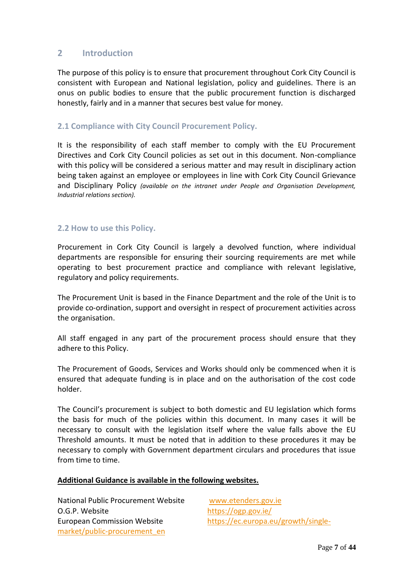#### **2 Introduction**

The purpose of this policy is to ensure that procurement throughout Cork City Council is consistent with European and National legislation, policy and guidelines. There is an onus on public bodies to ensure that the public procurement function is discharged honestly, fairly and in a manner that secures best value for money.

#### **2.1 Compliance with City Council Procurement Policy.**

It is the responsibility of each staff member to comply with the EU Procurement Directives and Cork City Council policies as set out in this document. Non-compliance with this policy will be considered a serious matter and may result in disciplinary action being taken against an employee or employees in line with Cork City Council Grievance and Disciplinary Policy *(available on the intranet under People and Organisation Development, Industrial relations section).*

#### **2.2 How to use this Policy.**

Procurement in Cork City Council is largely a devolved function, where individual departments are responsible for ensuring their sourcing requirements are met while operating to best procurement practice and compliance with relevant legislative, regulatory and policy requirements.

The Procurement Unit is based in the Finance Department and the role of the Unit is to provide co-ordination, support and oversight in respect of procurement activities across the organisation.

All staff engaged in any part of the procurement process should ensure that they adhere to this Policy.

The Procurement of Goods, Services and Works should only be commenced when it is ensured that adequate funding is in place and on the authorisation of the cost code holder.

The Council's procurement is subject to both domestic and EU legislation which forms the basis for much of the policies within this document. In many cases it will be necessary to consult with the legislation itself where the value falls above the EU Threshold amounts. It must be noted that in addition to these procedures it may be necessary to comply with Government department circulars and procedures that issue from time to time.

#### **Additional Guidance is available in the following websites.**

National Public Procurement Website [www.etenders.gov.ie](http://www.etenders.gov.ie/) O.G.P. Website <https://ogp.gov.ie/> European Commission Website [https://ec.europa.eu/growth/single](https://ec.europa.eu/growth/single-market/public-procurement_en)[market/public-procurement\\_en](https://ec.europa.eu/growth/single-market/public-procurement_en)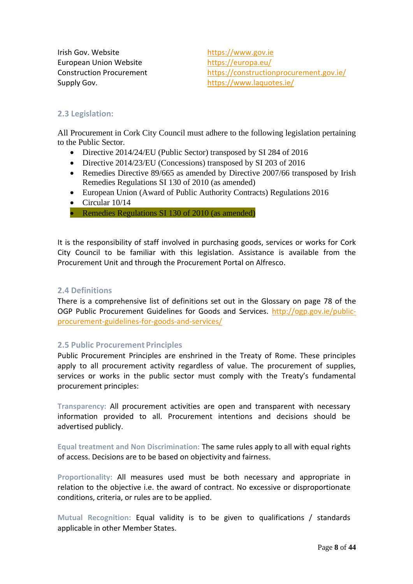Irish Gov. Website [https://www.gov.ie](https://www.gov.ie/) European Union Website <https://europa.eu/> Supply Gov. **<https://www.laquotes.ie/>** 

Construction Procurement <https://constructionprocurement.gov.ie/>

#### **2.3 Legislation:**

All Procurement in Cork City Council must adhere to the following legislation pertaining to the Public Sector.

- Directive 2014/24/EU (Public Sector) transposed by SI 284 of 2016
- Directive 2014/23/EU (Concessions) transposed by SI 203 of 2016
- Remedies Directive 89/665 as amended by Directive 2007/66 transposed by Irish Remedies Regulations SI 130 of 2010 (as amended)
- European Union (Award of Public Authority Contracts) Regulations 2016
- Circular 10/14

• Remedies Regulations SI 130 of 2010 (as amended)

It is the responsibility of staff involved in purchasing goods, services or works for Cork City Council to be familiar with this legislation. Assistance is available from the Procurement Unit and through the Procurement Portal on Alfresco.

#### **2.4 Definitions**

There is a comprehensive list of definitions set out in the Glossary on page 78 of the OGP Public Procurement Guidelines for Goods and Services. [http://ogp.gov.ie/public](http://ogp.gov.ie/public-procurement-guidelines-for-goods-and-services/)[procurement-guidelines-for-goods-and-services/](http://ogp.gov.ie/public-procurement-guidelines-for-goods-and-services/)

#### **2.5 Public Procurement Principles**

Public Procurement Principles are enshrined in the Treaty of Rome. These principles apply to all procurement activity regardless of value. The procurement of supplies, services or works in the public sector must comply with the Treaty's fundamental procurement principles:

**Transparency:** All procurement activities are open and transparent with necessary information provided to all. Procurement intentions and decisions should be advertised publicly.

**Equal treatment and Non Discrimination:** The same rules apply to all with equal rights of access. Decisions are to be based on objectivity and fairness.

**Proportionality:** All measures used must be both necessary and appropriate in relation to the objective i.e. the award of contract. No excessive or disproportionate conditions, criteria, or rules are to be applied.

**Mutual Recognition:** Equal validity is to be given to qualifications / standards applicable in other Member States.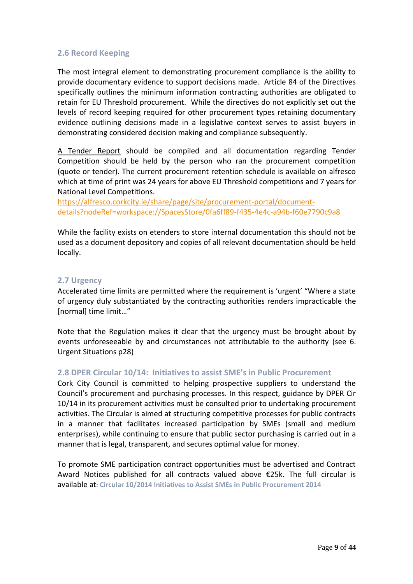#### **2.6 Record Keeping**

The most integral element to demonstrating procurement compliance is the ability to provide documentary evidence to support decisions made. Article 84 of the Directives specifically outlines the minimum information contracting authorities are obligated to retain for EU Threshold procurement. While the directives do not explicitly set out the levels of record keeping required for other procurement types retaining documentary evidence outlining decisions made in a legislative context serves to assist buyers in demonstrating considered decision making and compliance subsequently.

A Tender Report should be compiled and all documentation regarding Tender Competition should be held by the person who ran the procurement competition (quote or tender). The current procurement retention schedule is available on alfresco which at time of print was 24 years for above EU Threshold competitions and 7 years for National Level Competitions.

[https://alfresco.corkcity.ie/share/page/site/procurement-portal/document](https://alfresco.corkcity.ie/share/page/site/procurement-portal/document-details?nodeRef=workspace://SpacesStore/0fa6ff89-f435-4e4c-a94b-f60e7790c9a8)[details?nodeRef=workspace://SpacesStore/0fa6ff89-f435-4e4c-a94b-f60e7790c9a8](https://alfresco.corkcity.ie/share/page/site/procurement-portal/document-details?nodeRef=workspace://SpacesStore/0fa6ff89-f435-4e4c-a94b-f60e7790c9a8)

While the facility exists on etenders to store internal documentation this should not be used as a document depository and copies of all relevant documentation should be held locally.

#### **2.7 Urgency**

Accelerated time limits are permitted where the requirement is 'urgent' "Where a state of urgency duly substantiated by the contracting authorities renders impracticable the [normal] time limit…"

Note that the Regulation makes it clear that the urgency must be brought about by events unforeseeable by and circumstances not attributable to the authority (see 6. Urgent Situations p28)

#### **2.8 DPER Circular 10/14: Initiatives to assist SME's in Public Procurement**

Cork City Council is committed to helping prospective suppliers to understand the Council's procurement and purchasing processes. In this respect, guidance by DPER Cir 10/14 in its procurement activities must be consulted prior to undertaking procurement activities. The Circular is aimed at structuring competitive processes for public contracts in a manner that facilitates increased participation by SMEs (small and medium enterprises), while continuing to ensure that public sector purchasing is carried out in a manner that is legal, transparent, and secures optimal value for money.

To promote SME participation contract opportunities must be advertised and Contract Award Notices published for all contracts valued above €25k. The full circular is available at: **[Circular 10/2014 Initiatives to Assist SMEs in Public Procurement 2014](http://ogp.gov.ie/wp-content/uploads/Circular_10-14_01.pdf)**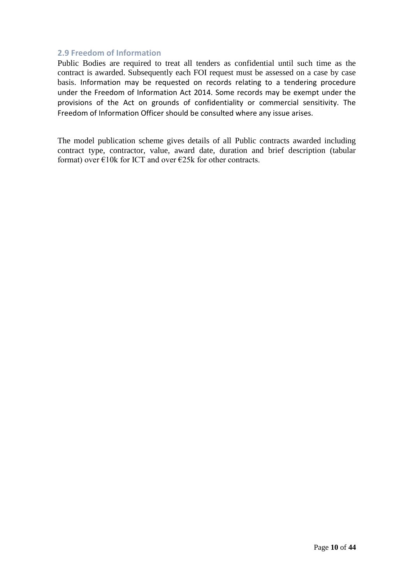#### **2.9 Freedom of Information**

Public Bodies are required to treat all tenders as confidential until such time as the contract is awarded. Subsequently each FOI request must be assessed on a case by case basis. Information may be requested on records relating to a tendering procedure under the Freedom of Information Act 2014. Some records may be exempt under the provisions of the Act on grounds of confidentiality or commercial sensitivity. The Freedom of Information Officer should be consulted where any issue arises.

The model publication scheme gives details of all Public contracts awarded including contract type, contractor, value, award date, duration and brief description (tabular format) over  $\epsilon$ 10k for ICT and over  $\epsilon$ 25k for other contracts.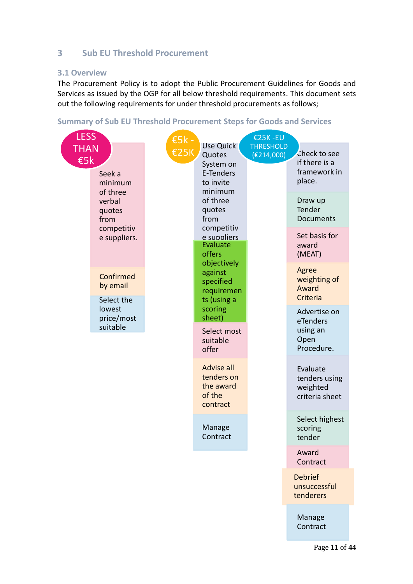#### **3 Sub EU Threshold Procurement**

#### **3.1 Overview**

The Procurement Policy is to adopt the Public Procurement Guidelines for Goods and Services as issued by the OGP for all below threshold requirements. This document sets out the following requirements for under threshold procurements as follows;

#### **Summary of Sub EU Threshold Procurement Steps for Goods and Services**

| <b>LESS</b>        |                                                                          | $E5k -$                                                                                             |                                                                      | €25K-EU                                                 |                                                                       |  |
|--------------------|--------------------------------------------------------------------------|-----------------------------------------------------------------------------------------------------|----------------------------------------------------------------------|---------------------------------------------------------|-----------------------------------------------------------------------|--|
| <b>THAN</b><br>E5k | <b>€25K</b><br>Seek a<br>minimum<br>of three<br>verbal<br>quotes<br>from | Use Quick<br>Quotes<br>System on<br>E-Tenders<br>to invite<br>minimum<br>of three<br>quotes<br>from | <b>THRESHOLD</b><br>(E214,000)                                       | Check to see<br>if there is a<br>framework in<br>place. |                                                                       |  |
|                    |                                                                          |                                                                                                     |                                                                      | Draw up<br>Tender<br>Documents                          |                                                                       |  |
|                    | competitiv<br>e suppliers.                                               |                                                                                                     |                                                                      | competitiv<br>Evaluate<br>offers                        | e suppliers                                                           |  |
|                    | Confirmed<br>by email<br>Select the                                      |                                                                                                     | objectively<br>against<br>specified<br>requiremen<br>ts (using a     |                                                         | Agree<br>weighting of<br>Award<br>Criteria                            |  |
|                    | lowest<br>price/most<br>suitable                                         |                                                                                                     | scoring<br>sheet)<br>Select most<br>suitable                         |                                                         | Advertise on<br>eTenders<br>using an<br>Open                          |  |
|                    |                                                                          |                                                                                                     | offer<br>Advise all<br>tenders on<br>the award<br>of the<br>contract |                                                         | Procedure.<br>Evaluate<br>tenders using<br>weighted<br>criteria sheet |  |
|                    |                                                                          |                                                                                                     | Manage<br>Contract                                                   |                                                         | Select highest<br>scoring<br>tender                                   |  |
|                    |                                                                          |                                                                                                     |                                                                      |                                                         | Award<br>Contract                                                     |  |
|                    |                                                                          |                                                                                                     |                                                                      |                                                         | <b>Debrief</b><br>unsuccessful<br>tenderers                           |  |
|                    |                                                                          |                                                                                                     |                                                                      |                                                         | Manage<br>Contract                                                    |  |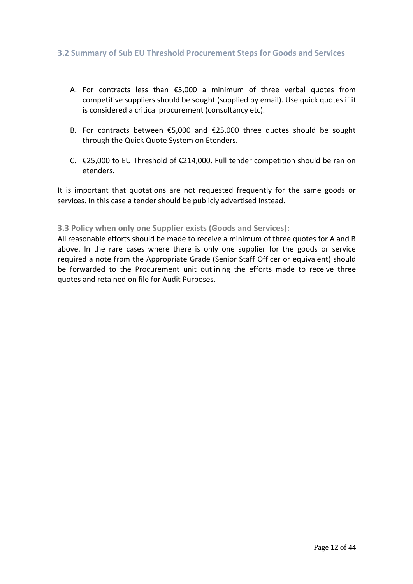#### **3.2 Summary of Sub EU Threshold Procurement Steps for Goods and Services**

- A. For contracts less than €5,000 a minimum of three verbal quotes from competitive suppliers should be sought (supplied by email). Use quick quotes if it is considered a critical procurement (consultancy etc).
- B. For contracts between €5,000 and €25,000 three quotes should be sought through the Quick Quote System on Etenders.
- C. €25,000 to EU Threshold of €214,000. Full tender competition should be ran on etenders.

It is important that quotations are not requested frequently for the same goods or services. In this case a tender should be publicly advertised instead.

#### **3.3 Policy when only one Supplier exists (Goods and Services):**

All reasonable efforts should be made to receive a minimum of three quotes for A and B above. In the rare cases where there is only one supplier for the goods or service required a note from the Appropriate Grade (Senior Staff Officer or equivalent) should be forwarded to the Procurement unit outlining the efforts made to receive three quotes and retained on file for Audit Purposes.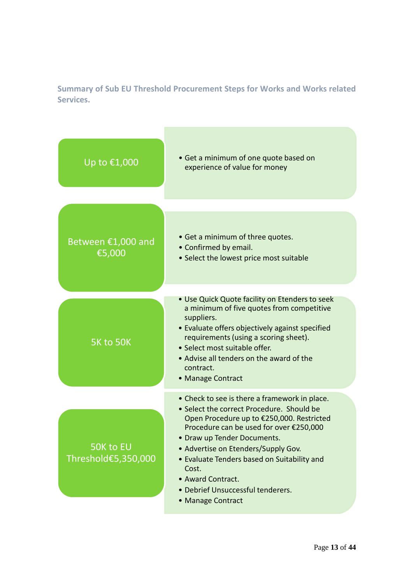**Summary of Sub EU Threshold Procurement Steps for Works and Works related Services.**

**The State** 

| Up to €1,000                     | • Get a minimum of one quote based on<br>experience of value for money                                                                                                                                                                                                                            |
|----------------------------------|---------------------------------------------------------------------------------------------------------------------------------------------------------------------------------------------------------------------------------------------------------------------------------------------------|
|                                  |                                                                                                                                                                                                                                                                                                   |
| Between €1,000 and<br>€5,000     | • Get a minimum of three quotes.<br>• Confirmed by email.<br>• Select the lowest price most suitable                                                                                                                                                                                              |
|                                  | • Use Quick Quote facility on Etenders to seek                                                                                                                                                                                                                                                    |
| <b>5K to 50K</b>                 | a minimum of five quotes from competitive<br>suppliers.<br>• Evaluate offers objectively against specified<br>requirements (using a scoring sheet).<br>• Select most suitable offer.<br>• Advise all tenders on the award of the<br>contract.<br>• Manage Contract                                |
|                                  | • Check to see is there a framework in place.<br>• Select the correct Procedure. Should be                                                                                                                                                                                                        |
| 50K to EU<br>Threshold€5,350,000 | Open Procedure up to €250,000. Restricted<br>Procedure can be used for over €250,000<br>• Draw up Tender Documents.<br>• Advertise on Etenders/Supply Gov.<br>• Evaluate Tenders based on Suitability and<br>Cost.<br>• Award Contract.<br>· Debrief Unsuccessful tenderers.<br>• Manage Contract |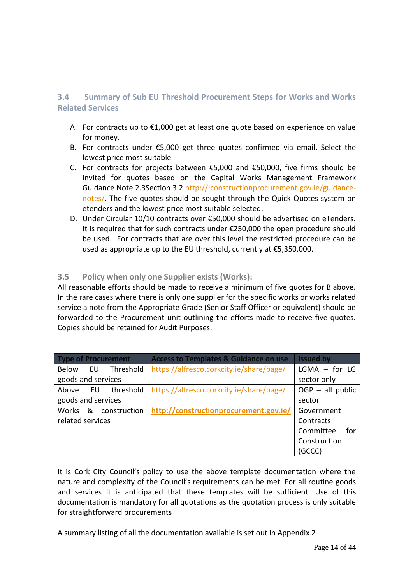#### **3.4 Summary of Sub EU Threshold Procurement Steps for Works and Works Related Services**

- A. For contracts up to €1,000 get at least one quote based on experience on value for money.
- B. For contracts under €5,000 get three quotes confirmed via email. Select the lowest price most suitable
- C. For contracts for projects between €5,000 and €50,000, five firms should be invited for quotes based on the Capital Works Management Framework Guidance Note 2.3Section 3.2 http://:constructionprocurement.gov.ie/guidancenotes/. The five quotes should be sought through the Quick Quotes system on etenders and the lowest price most suitable selected.
- D. Under Circular 10/10 contracts over €50,000 should be advertised on eTenders. It is required that for such contracts under €250,000 the open procedure should be used. For contracts that are over this level the restricted procedure can be used as appropriate up to the EU threshold, currently at €5,350,000.

#### **3.5 Policy when only one Supplier exists (Works):**

All reasonable efforts should be made to receive a minimum of five quotes for B above. In the rare cases where there is only one supplier for the specific works or works related service a note from the Appropriate Grade (Senior Staff Officer or equivalent) should be forwarded to the Procurement unit outlining the efforts made to receive five quotes. Copies should be retained for Audit Purposes.

| <b>Type of Procurement</b> | <b>Access to Templates &amp; Guidance on use</b> | <b>Issued by</b>   |
|----------------------------|--------------------------------------------------|--------------------|
| Threshold<br>Below EU      | https://alfresco.corkcity.ie/share/page/         | $LGMA - for LG$    |
| goods and services         |                                                  | sector only        |
| threshold<br>Above<br>EU.  | https://alfresco.corkcity.ie/share/page/         | $OGP - all public$ |
| goods and services         |                                                  | sector             |
| Works & construction       | http://constructionprocurement.gov.ie/           | Government         |
| related services           |                                                  | Contracts          |
|                            |                                                  | Committee<br>for   |
|                            |                                                  | Construction       |
|                            |                                                  | (GCCC)             |

It is Cork City Council's policy to use the above template documentation where the nature and complexity of the Council's requirements can be met. For all routine goods and services it is anticipated that these templates will be sufficient. Use of this documentation is mandatory for all quotations as the quotation process is only suitable for straightforward procurements

A summary listing of all the documentation available is set out in Appendix 2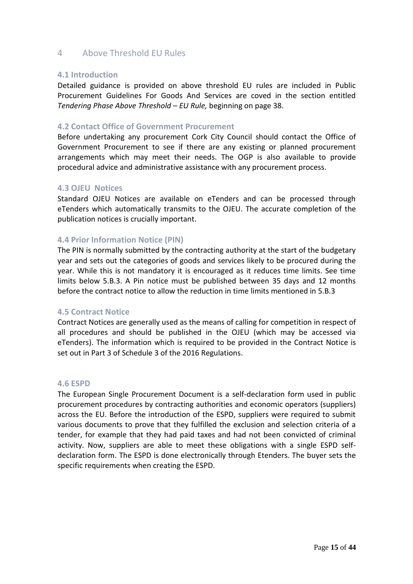#### 4 Above Threshold EU Rules

#### **4.1 Introduction**

Detailed guidance is provided on above threshold EU rules are included in Public Procurement Guidelines For Goods And Services are coved in the section entitled *Tendering Phase Above Threshold – EU Rule,* beginning on page 38.

#### **4.2 Contact Office of Government Procurement**

Before undertaking any procurement Cork City Council should contact the Office of Government Procurement to see if there are any existing or planned procurement arrangements which may meet their needs. The OGP is also available to provide procedural advice and administrative assistance with any procurement process.

#### **4.3 OJEU Notices**

Standard OJEU Notices are available on eTenders and can be processed through eTenders which automatically transmits to the OJEU. The accurate completion of the publication notices is crucially important.

#### **4.4 Prior Information Notice (PIN)**

The PIN is normally submitted by the contracting authority at the start of the budgetary year and sets out the categories of goods and services likely to be procured during the year. While this is not mandatory it is encouraged as it reduces time limits. See time limits below 5.B.3. A Pin notice must be published between 35 days and 12 months before the contract notice to allow the reduction in time limits mentioned in 5.B.3

#### **4.5 Contract Notice**

Contract Notices are generally used as the means of calling for competition in respect of all procedures and should be published in the OJEU (which may be accessed via eTenders). The information which is required to be provided in the Contract Notice is set out in Part 3 of Schedule 3 of the 2016 Regulations.

#### **4.6 ESPD**

The European Single Procurement Document is a self-declaration form used in public procurement procedures by contracting authorities and economic operators (suppliers) across the EU. Before the introduction of the ESPD, suppliers were required to submit various documents to prove that they fulfilled the exclusion and selection criteria of a tender, for example that they had paid taxes and had not been convicted of criminal activity. Now, suppliers are able to meet these obligations with a single ESPD selfdeclaration form. The ESPD is done electronically through Etenders. The buyer sets the specific requirements when creating the ESPD.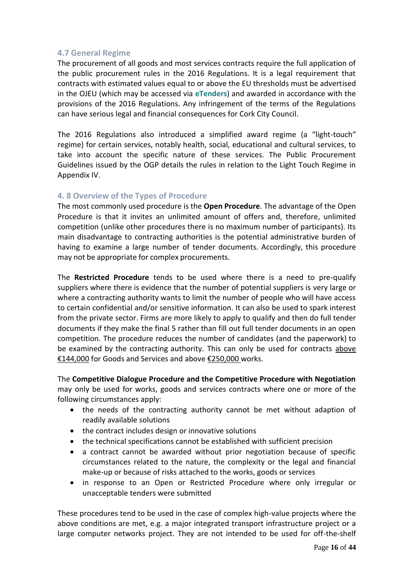#### **4.7 General Regime**

The procurement of all goods and most services contracts require the full application of the public procurement rules in the 2016 Regulations. It is a legal requirement that contracts with estimated values equal to or above the EU thresholds must be advertised in the OJEU (which may be accessed via **eTenders**) and awarded in accordance with the provisions of the 2016 Regulations. Any infringement of the terms of the Regulations can have serious legal and financial consequences for Cork City Council.

The 2016 Regulations also introduced a simplified award regime (a "light-touch" regime) for certain services, notably health, social, educational and cultural services, to take into account the specific nature of these services. The Public Procurement Guidelines issued by the OGP details the rules in relation to the Light Touch Regime in Appendix IV.

#### **4. 8 Overview of the Types of Procedure**

The most commonly used procedure is the **Open Procedure**. The advantage of the Open Procedure is that it invites an unlimited amount of offers and, therefore, unlimited competition (unlike other procedures there is no maximum number of participants). Its main disadvantage to contracting authorities is the potential administrative burden of having to examine a large number of tender documents. Accordingly, this procedure may not be appropriate for complex procurements.

The **Restricted Procedure** tends to be used where there is a need to pre-qualify suppliers where there is evidence that the number of potential suppliers is very large or where a contracting authority wants to limit the number of people who will have access to certain confidential and/or sensitive information. It can also be used to spark interest from the private sector. Firms are more likely to apply to qualify and then do full tender documents if they make the final 5 rather than fill out full tender documents in an open competition. The procedure reduces the number of candidates (and the paperwork) to be examined by the contracting authority. This can only be used for contracts above €144,000 for Goods and Services and above €250,000 works.

The **Competitive Dialogue Procedure and the Competitive Procedure with Negotiation** may only be used for works, goods and services contracts where one or more of the following circumstances apply:

- the needs of the contracting authority cannot be met without adaption of readily available solutions
- the contract includes design or innovative solutions
- the technical specifications cannot be established with sufficient precision
- a contract cannot be awarded without prior negotiation because of specific circumstances related to the nature, the complexity or the legal and financial make-up or because of risks attached to the works, goods or services
- in response to an Open or Restricted Procedure where only irregular or unacceptable tenders were submitted

These procedures tend to be used in the case of complex high-value projects where the above conditions are met, e.g. a major integrated transport infrastructure project or a large computer networks project. They are not intended to be used for off-the-shelf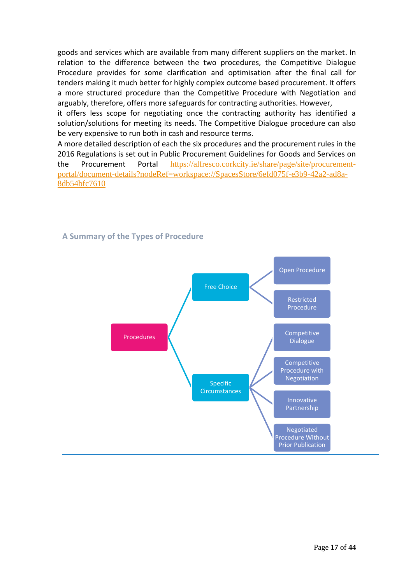goods and services which are available from many different suppliers on the market. In relation to the difference between the two procedures, the Competitive Dialogue Procedure provides for some clarification and optimisation after the final call for tenders making it much better for highly complex outcome based procurement. It offers a more structured procedure than the Competitive Procedure with Negotiation and arguably, therefore, offers more safeguards for contracting authorities. However,

it offers less scope for negotiating once the contracting authority has identified a solution/solutions for meeting its needs. The Competitive Dialogue procedure can also be very expensive to run both in cash and resource terms.

A more detailed description of each the six procedures and the procurement rules in the 2016 Regulations is set out in Public Procurement Guidelines for Goods and Services on the Procurement Portal [https://alfresco.corkcity.ie/share/page/site/procurement](https://alfresco.corkcity.ie/share/page/site/procurement-portal/document-details?nodeRef=workspace://SpacesStore/6efd075f-e3b9-42a2-ad8a-8db54bfc7610)[portal/document-details?nodeRef=workspace://SpacesStore/6efd075f-e3b9-42a2-ad8a-](https://alfresco.corkcity.ie/share/page/site/procurement-portal/document-details?nodeRef=workspace://SpacesStore/6efd075f-e3b9-42a2-ad8a-8db54bfc7610)[8db54bfc7610](https://alfresco.corkcity.ie/share/page/site/procurement-portal/document-details?nodeRef=workspace://SpacesStore/6efd075f-e3b9-42a2-ad8a-8db54bfc7610)



#### **A Summary of the Types of Procedure**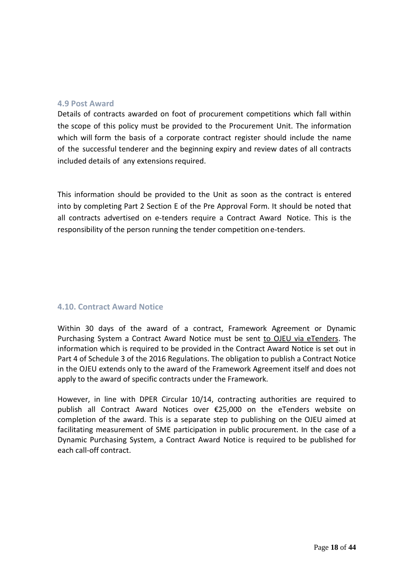#### **4.9 Post Award**

Details of contracts awarded on foot of procurement competitions which fall within the scope of this policy must be provided to the Procurement Unit. The information which will form the basis of a corporate contract register should include the name of the successful tenderer and the beginning expiry and review dates of all contracts included details of any extensions required.

This information should be provided to the Unit as soon as the contract is entered into by completing Part 2 Section E of the Pre Approval Form. It should be noted that all contracts advertised on e-tenders require a Contract Award Notice. This is the responsibility of the person running the tender competition one-tenders.

#### **4.10. Contract Award Notice**

Within 30 days of the award of a contract, Framework Agreement or Dynamic Purchasing System a Contract Award Notice must be sent to OJEU via eTenders. The information which is required to be provided in the Contract Award Notice is set out in Part 4 of Schedule 3 of the 2016 Regulations. The obligation to publish a Contract Notice in the OJEU extends only to the award of the Framework Agreement itself and does not apply to the award of specific contracts under the Framework.

However, in line with DPER Circular 10/14, contracting authorities are required to publish all Contract Award Notices over €25,000 on the eTenders website on completion of the award. This is a separate step to publishing on the OJEU aimed at facilitating measurement of SME participation in public procurement. In the case of a Dynamic Purchasing System, a Contract Award Notice is required to be published for each call-off contract.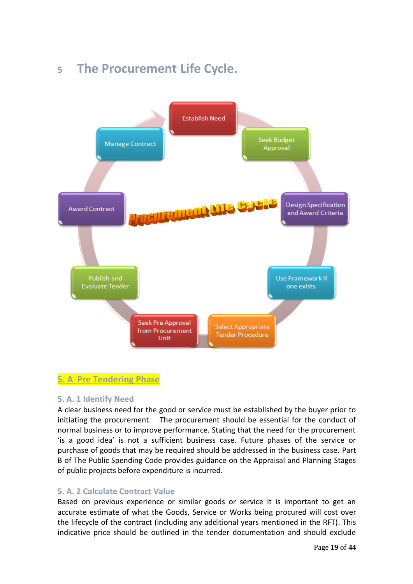## <span id="page-18-0"></span>**5 The Procurement Life Cycle.**



#### <span id="page-18-1"></span>**5. A Pre Tendering Phase**

#### **5. A. 1 Identify Need**

A clear business need for the good or service must be established by the buyer prior to initiating the procurement. The procurement should be essential for the conduct of normal business or to improve performance. Stating that the need for the procurement 'is a good idea' is not a sufficient business case. Future phases of the service or purchase of goods that may be required should be addressed in the business case. Part B of The Public Spending Code provides guidance on the Appraisal and Planning Stages of public projects before expenditure is incurred.

#### **5. A. 2 Calculate Contract Value**

Based on previous experience or similar goods or service it is important to get an accurate estimate of what the Goods, Service or Works being procured will cost over the lifecycle of the contract (including any additional years mentioned in the RFT). This indicative price should be outlined in the tender documentation and should exclude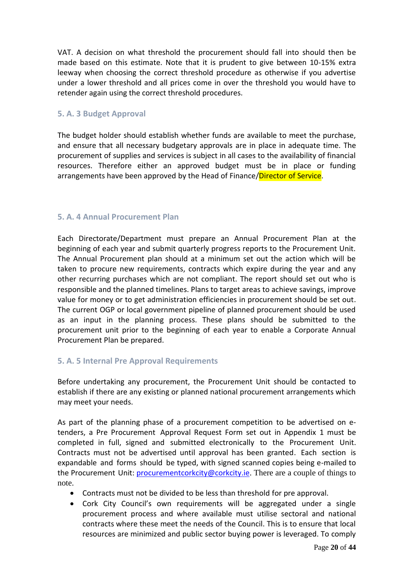VAT. A decision on what threshold the procurement should fall into should then be made based on this estimate. Note that it is prudent to give between 10-15% extra leeway when choosing the correct threshold procedure as otherwise if you advertise under a lower threshold and all prices come in over the threshold you would have to retender again using the correct threshold procedures.

#### **5. A. 3 Budget Approval**

The budget holder should establish whether funds are available to meet the purchase, and ensure that all necessary budgetary approvals are in place in adequate time. The procurement of supplies and services is subject in all cases to the availability of financial resources. Therefore either an approved budget must be in place or funding arrangements have been approved by the Head of Finance/Director of Service.

#### **5. A. 4 Annual Procurement Plan**

Each Directorate/Department must prepare an Annual Procurement Plan at the beginning of each year and submit quarterly progress reports to the Procurement Unit. The Annual Procurement plan should at a minimum set out the action which will be taken to procure new requirements, contracts which expire during the year and any other recurring purchases which are not compliant. The report should set out who is responsible and the planned timelines. Plans to target areas to achieve savings, improve value for money or to get administration efficiencies in procurement should be set out. The current OGP or local government pipeline of planned procurement should be used as an input in the planning process. These plans should be submitted to the procurement unit prior to the beginning of each year to enable a Corporate Annual Procurement Plan be prepared.

#### **5. A. 5 Internal Pre Approval Requirements**

Before undertaking any procurement, the Procurement Unit should be contacted to establish if there are any existing or planned national procurement arrangements which may meet your needs.

As part of the planning phase of a procurement competition to be advertised on etenders, a Pre Procurement Approval Request Form set out in Appendix 1 must be completed in full, signed and submitted electronically to the Procurement Unit. Contracts must not be advertised until approval has been granted. Each section is expandable and forms should be typed, with signed scanned copies being e-mailed to the Procurement Unit: *[procurementcork](mailto:procurement_unit@corkcity.ie)[city@corkcity.ie](mailto:city@corkcity.ie)*. There are a couple of things to note.

- Contracts must not be divided to be less than threshold for pre approval.
- Cork City Council's own requirements will be aggregated under a single procurement process and where available must utilise sectoral and national contracts where these meet the needs of the Council. This is to ensure that local resources are minimized and public sector buying power is leveraged. To comply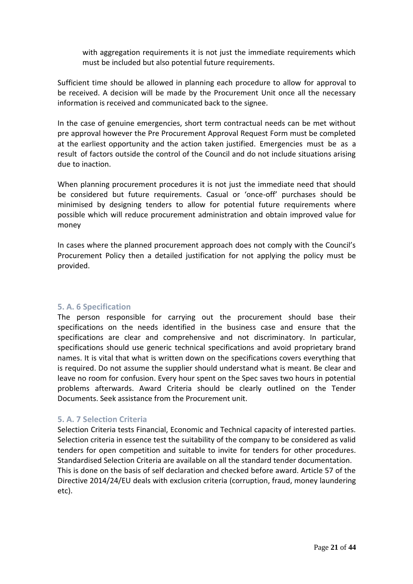with aggregation requirements it is not just the immediate requirements which must be included but also potential future requirements.

Sufficient time should be allowed in planning each procedure to allow for approval to be received. A decision will be made by the Procurement Unit once all the necessary information is received and communicated back to the signee.

In the case of genuine emergencies, short term contractual needs can be met without pre approval however the Pre Procurement Approval Request Form must be completed at the earliest opportunity and the action taken justified. Emergencies must be as a result of factors outside the control of the Council and do not include situations arising due to inaction.

When planning procurement procedures it is not just the immediate need that should be considered but future requirements. Casual or 'once-off' purchases should be minimised by designing tenders to allow for potential future requirements where possible which will reduce procurement administration and obtain improved value for money

In cases where the planned procurement approach does not comply with the Council's Procurement Policy then a detailed justification for not applying the policy must be provided.

#### **5. A. 6 Specification**

The person responsible for carrying out the procurement should base their specifications on the needs identified in the business case and ensure that the specifications are clear and comprehensive and not discriminatory. In particular, specifications should use generic technical specifications and avoid proprietary brand names. It is vital that what is written down on the specifications covers everything that is required. Do not assume the supplier should understand what is meant. Be clear and leave no room for confusion. Every hour spent on the Spec saves two hours in potential problems afterwards. Award Criteria should be clearly outlined on the Tender Documents. Seek assistance from the Procurement unit.

#### **5. A. 7 Selection Criteria**

Selection Criteria tests Financial, Economic and Technical capacity of interested parties. Selection criteria in essence test the suitability of the company to be considered as valid tenders for open competition and suitable to invite for tenders for other procedures. Standardised Selection Criteria are available on all the standard tender documentation. This is done on the basis of self declaration and checked before award. Article 57 of the Directive 2014/24/EU deals with exclusion criteria (corruption, fraud, money laundering etc).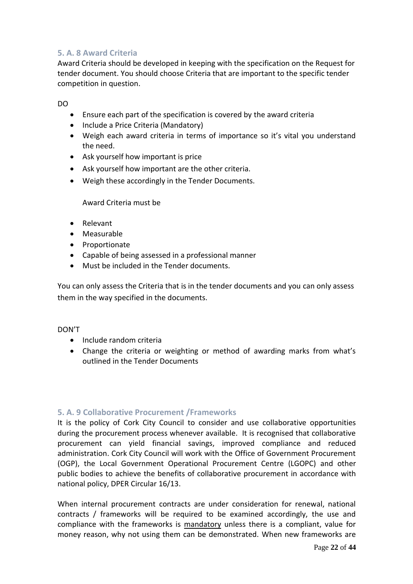#### **5. A. 8 Award Criteria**

Award Criteria should be developed in keeping with the specification on the Request for tender document. You should choose Criteria that are important to the specific tender competition in question.

DO

- Ensure each part of the specification is covered by the award criteria
- Include a Price Criteria (Mandatory)
- Weigh each award criteria in terms of importance so it's vital you understand the need.
- Ask yourself how important is price
- Ask yourself how important are the other criteria.
- Weigh these accordingly in the Tender Documents.

Award Criteria must be

- Relevant
- Measurable
- Proportionate
- Capable of being assessed in a professional manner
- Must be included in the Tender documents.

You can only assess the Criteria that is in the tender documents and you can only assess them in the way specified in the documents.

#### DON'T

- Include random criteria
- Change the criteria or weighting or method of awarding marks from what's outlined in the Tender Documents

#### **5. A. 9 Collaborative Procurement /Frameworks**

It is the policy of Cork City Council to consider and use collaborative opportunities during the procurement process whenever available. It is recognised that collaborative procurement can yield financial savings, improved compliance and reduced administration. Cork City Council will work with the Office of Government Procurement (OGP), the Local Government Operational Procurement Centre (LGOPC) and other public bodies to achieve the benefits of collaborative procurement in accordance with national policy, DPER Circular 16/13.

When internal procurement contracts are under consideration for renewal, national contracts / frameworks will be required to be examined accordingly, the use and compliance with the frameworks is mandatory unless there is a compliant, value for money reason, why not using them can be demonstrated. When new frameworks are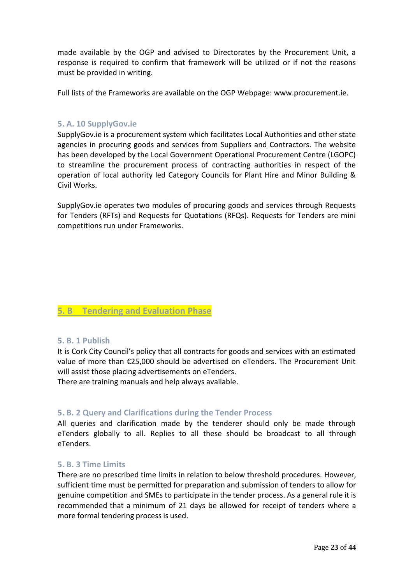made available by the OGP and advised to Directorates by the Procurement Unit, a response is required to confirm that framework will be utilized or if not the reasons must be provided in writing.

Full lists of the Frameworks are available on the OGP Webpage: [www.procurement.ie.](http://www.procurement.ie/)

#### **5. A. 10 SupplyGov.ie**

SupplyGov.ie is a procurement system which facilitates Local Authorities and other state agencies in procuring goods and services from Suppliers and Contractors. The website has been developed by the Local Government Operational Procurement Centre (LGOPC) to streamline the procurement process of contracting authorities in respect of the operation of local authority led Category Councils for Plant Hire and Minor Building & Civil Works.

SupplyGov.ie operates two modules of procuring goods and services through Requests for Tenders (RFTs) and Requests for Quotations (RFQs). Requests for Tenders are mini competitions run under Frameworks.

#### **5. B Tendering and Evaluation Phase**

#### **5. B. 1 Publish**

It is Cork City Council's policy that all contracts for goods and services with an estimated value of more than €25,000 should be advertised on eTenders. The Procurement Unit will assist those placing advertisements on eTenders.

There are training manuals and help always available.

#### **5. B. 2 Query and Clarifications during the Tender Process**

All queries and clarification made by the tenderer should only be made through eTenders globally to all. Replies to all these should be broadcast to all through eTenders.

#### **5. B. 3 Time Limits**

There are no prescribed time limits in relation to below threshold procedures. However, sufficient time must be permitted for preparation and submission of tenders to allow for genuine competition and SMEs to participate in the tender process. As a general rule it is recommended that a minimum of 21 days be allowed for receipt of tenders where a more formal tendering process is used.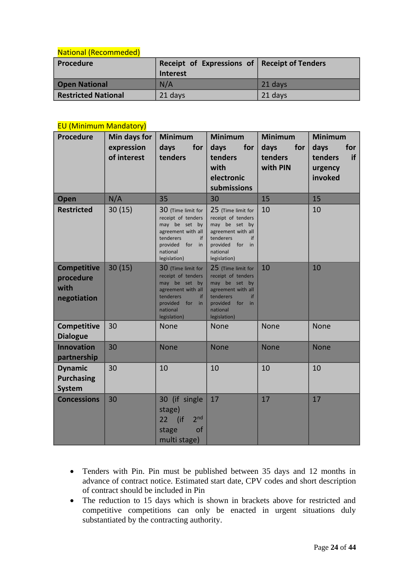#### National (Recommeded)

| Procedure                  | Receipt of Expressions of Receipt of Tenders |                  |  |
|----------------------------|----------------------------------------------|------------------|--|
|                            | Interest                                     |                  |  |
| <b>Open National</b>       | N/A                                          | $\sqrt{21}$ days |  |
| <b>Restricted National</b> | 21 days                                      | 21 days          |  |

#### EU (Minimum Mandatory)

| <b>Procedure</b>                                       | Min days for<br>expression<br>of interest | <b>Minimum</b><br>days<br>for<br>tenders                                                                                                                | <b>Minimum</b><br>days<br>for<br>tenders<br>with<br>electronic<br>submissions                                                                           | <b>Minimum</b><br>days<br>for<br>tenders<br>with PIN | <b>Minimum</b><br>days<br>for<br>if<br>tenders<br>urgency<br>invoked |
|--------------------------------------------------------|-------------------------------------------|---------------------------------------------------------------------------------------------------------------------------------------------------------|---------------------------------------------------------------------------------------------------------------------------------------------------------|------------------------------------------------------|----------------------------------------------------------------------|
| Open                                                   | N/A                                       | 35                                                                                                                                                      | 30                                                                                                                                                      | 15                                                   | 15                                                                   |
| <b>Restricted</b>                                      | 30(15)                                    | 30 (Time limit for<br>receipt of tenders<br>may be set by<br>agreement with all<br>tenderers<br>if<br>provided<br>for<br>in<br>national<br>legislation) | 25 (Time limit for<br>receipt of tenders<br>may be set by<br>agreement with all<br>tenderers<br>if<br>provided for in<br>national<br>legislation)       | 10                                                   | 10                                                                   |
| <b>Competitive</b><br>procedure<br>with<br>negotiation | 30(15)                                    | 30 (Time limit for<br>receipt of tenders<br>may be set by<br>agreement with all<br>tenderers<br>if<br>provided<br>for<br>in<br>national<br>legislation) | 25 (Time limit for<br>receipt of tenders<br>may be set by<br>agreement with all<br>tenderers<br>if<br>provided<br>for<br>in<br>national<br>legislation) | 10                                                   | 10                                                                   |
| Competitive<br><b>Dialogue</b>                         | 30                                        | None                                                                                                                                                    | None                                                                                                                                                    | None                                                 | <b>None</b>                                                          |
| <b>Innovation</b><br>partnership                       | 30                                        | <b>None</b>                                                                                                                                             | <b>None</b>                                                                                                                                             | <b>None</b>                                          | <b>None</b>                                                          |
| <b>Dynamic</b><br><b>Purchasing</b><br><b>System</b>   | 30                                        | 10                                                                                                                                                      | 10                                                                                                                                                      | 10                                                   | 10                                                                   |
| <b>Concessions</b>                                     | 30                                        | 30 (if single<br>stage)<br>2 <sub>nd</sub><br>22 (if<br>of<br>stage<br>multi stage)                                                                     | 17                                                                                                                                                      | 17                                                   | 17                                                                   |

- Tenders with Pin. Pin must be published between 35 days and 12 months in advance of contract notice. Estimated start date, CPV codes and short description of contract should be included in Pin
- The reduction to 15 days which is shown in brackets above for restricted and competitive competitions can only be enacted in urgent situations duly substantiated by the contracting authority.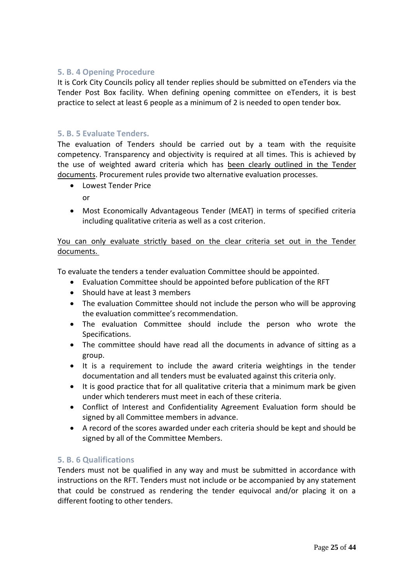#### **5. B. 4 Opening Procedure**

It is Cork City Councils policy all tender replies should be submitted on eTenders via the Tender Post Box facility. When defining opening committee on eTenders, it is best practice to select at least 6 people as a minimum of 2 is needed to open tender box.

#### **5. B. 5 Evaluate Tenders.**

The evaluation of Tenders should be carried out by a team with the requisite competency. Transparency and objectivity is required at all times. This is achieved by the use of weighted award criteria which has been clearly outlined in the Tender documents. Procurement rules provide two alternative evaluation processes.

• Lowest Tender Price

or

• Most Economically Advantageous Tender (MEAT) in terms of specified criteria including qualitative criteria as well as a cost criterion.

#### You can only evaluate strictly based on the clear criteria set out in the Tender documents.

To evaluate the tenders a tender evaluation Committee should be appointed.

- Evaluation Committee should be appointed before publication of the RFT
- Should have at least 3 members
- The evaluation Committee should not include the person who will be approving the evaluation committee's recommendation.
- The evaluation Committee should include the person who wrote the Specifications.
- The committee should have read all the documents in advance of sitting as a group.
- It is a requirement to include the award criteria weightings in the tender documentation and all tenders must be evaluated against this criteria only.
- It is good practice that for all qualitative criteria that a minimum mark be given under which tenderers must meet in each of these criteria.
- Conflict of Interest and Confidentiality Agreement Evaluation form should be signed by all Committee members in advance.
- A record of the scores awarded under each criteria should be kept and should be signed by all of the Committee Members.

#### **5. B. 6 Qualifications**

Tenders must not be qualified in any way and must be submitted in accordance with instructions on the RFT. Tenders must not include or be accompanied by any statement that could be construed as rendering the tender equivocal and/or placing it on a different footing to other tenders.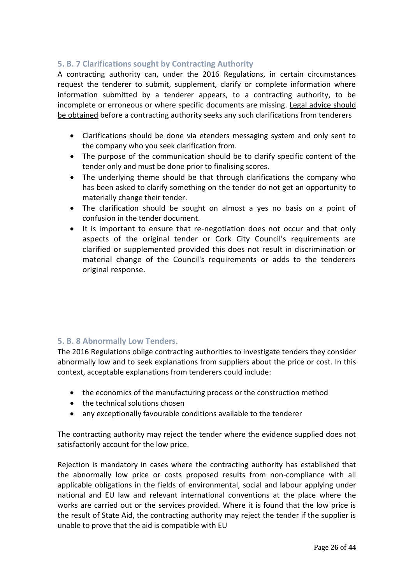#### **5. B. 7 Clarifications sought by Contracting Authority**

A contracting authority can, under the 2016 Regulations, in certain circumstances request the tenderer to submit, supplement, clarify or complete information where information submitted by a tenderer appears, to a contracting authority, to be incomplete or erroneous or where specific documents are missing. Legal advice should be obtained before a contracting authority seeks any such clarifications from tenderers

- Clarifications should be done via etenders messaging system and only sent to the company who you seek clarification from.
- The purpose of the communication should be to clarify specific content of the tender only and must be done prior to finalising scores.
- The underlying theme should be that through clarifications the company who has been asked to clarify something on the tender do not get an opportunity to materially change their tender.
- The clarification should be sought on almost a yes no basis on a point of confusion in the tender document.
- It is important to ensure that re-negotiation does not occur and that only aspects of the original tender or Cork City Council's requirements are clarified or supplemented provided this does not result in discrimination or material change of the Council's requirements or adds to the tenderers original response.

#### **5. B. 8 Abnormally Low Tenders.**

The 2016 Regulations oblige contracting authorities to investigate tenders they consider abnormally low and to seek explanations from suppliers about the price or cost. In this context, acceptable explanations from tenderers could include:

- the economics of the manufacturing process or the construction method
- the technical solutions chosen
- any exceptionally favourable conditions available to the tenderer

The contracting authority may reject the tender where the evidence supplied does not satisfactorily account for the low price.

Rejection is mandatory in cases where the contracting authority has established that the abnormally low price or costs proposed results from non-compliance with all applicable obligations in the fields of environmental, social and labour applying under national and EU law and relevant international conventions at the place where the works are carried out or the services provided. Where it is found that the low price is the result of State Aid, the contracting authority may reject the tender if the supplier is unable to prove that the aid is compatible with EU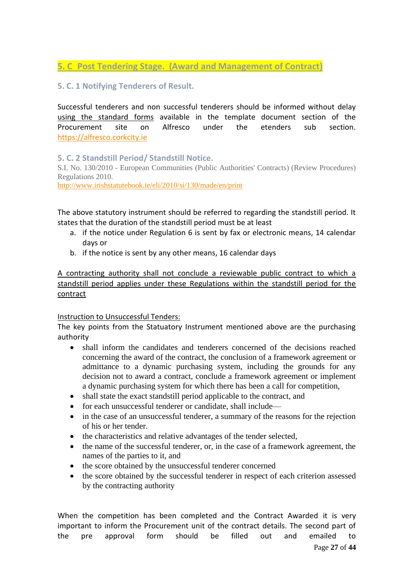#### **5. C Post Tendering Stage. (Award and Management of Contract)**

#### **5. C. 1 Notifying Tenderers of Result.**

Successful tenderers and non successful tenderers should be informed without delay using the standard forms available in the template document section of the Procurement site on Alfresco under the etenders sub section. [https://alfresco.corkcity.ie](https://alfresco.corkcity.ie/)

**5. C. 2 Standstill Period/ Standstill Notice.**

S.I. No. 130/2010 - European Communities (Public Authorities' Contracts) (Review Procedures) Regulations 2010.

<http://www.irishstatutebook.ie/eli/2010/si/130/made/en/print>

The above statutory instrument should be referred to regarding the standstill period. It states that the duration of the standstill period must be at least

- a. if the notice under Regulation 6 is sent by fax or electronic means, 14 calendar days or
- b. if the notice is sent by any other means, 16 calendar days

A contracting authority shall not conclude a reviewable public contract to which a standstill period applies under these Regulations within the standstill period for the contract

#### Instruction to Unsuccessful Tenders:

The key points from the Statuatory Instrument mentioned above are the purchasing authority

- shall inform the candidates and tenderers concerned of the decisions reached concerning the award of the contract, the conclusion of a framework agreement or admittance to a dynamic purchasing system, including the grounds for any decision not to award a contract, conclude a framework agreement or implement a dynamic purchasing system for which there has been a call for competition,
- shall state the exact standstill period applicable to the contract, and
- for each unsuccessful tenderer or candidate, shall include—
- in the case of an unsuccessful tenderer, a summary of the reasons for the rejection of his or her tender.
- the characteristics and relative advantages of the tender selected,
- the name of the successful tenderer, or, in the case of a framework agreement, the names of the parties to it, and
- the score obtained by the unsuccessful tenderer concerned
- the score obtained by the successful tenderer in respect of each criterion assessed by the contracting authority

Page **27** of **44** When the competition has been completed and the Contract Awarded it is very important to inform the Procurement unit of the contract details. The second part of the pre approval form should be filled out and emailed to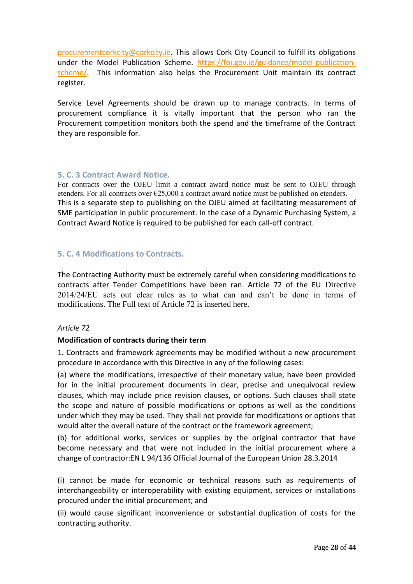[procurementcorkcity@corkcity.ie.](mailto:procurementcorkcity@corkcity.ie) This allows Cork City Council to fulfill its obligations under the Model Publication Scheme. [https://foi.gov.ie/guidance/model-publication](https://foi.gov.ie/guidance/model-publication-scheme/)[scheme/.](https://foi.gov.ie/guidance/model-publication-scheme/) This information also helps the Procurement Unit maintain its contract register.

Service Level Agreements should be drawn up to manage contracts. In terms of procurement compliance it is vitally important that the person who ran the Procurement competition monitors both the spend and the timeframe of the Contract they are responsible for.

#### **5. C. 3 Contract Award Notice.**

For contracts over the OJEU limit a contract award notice must be sent to OJEU through etenders. For all contracts over  $\epsilon$ 25,000 a contract award notice must be published on etenders. This is a separate step to publishing on the OJEU aimed at facilitating measurement of SME participation in public procurement. In the case of a Dynamic Purchasing System, a Contract Award Notice is required to be published for each call-off contract.

#### **5. C. 4 Modifications to Contracts.**

<span id="page-27-0"></span>The Contracting Authority must be extremely careful when considering modifications to contracts after Tender Competitions have been ran. Article 72 of the EU Directive 2014/24/EU sets out clear rules as to what can and can't be done in terms of modifications. The Full text of Article 72 is inserted here.

#### *Article 72*

#### **Modification of contracts during their term**

1. Contracts and framework agreements may be modified without a new procurement procedure in accordance with this Directive in any of the following cases:

(a) where the modifications, irrespective of their monetary value, have been provided for in the initial procurement documents in clear, precise and unequivocal review clauses, which may include price revision clauses, or options. Such clauses shall state the scope and nature of possible modifications or options as well as the conditions under which they may be used. They shall not provide for modifications or options that would alter the overall nature of the contract or the framework agreement;

(b) for additional works, services or supplies by the original contractor that have become necessary and that were not included in the initial procurement where a change of contractor:EN L 94/136 Official Journal of the European Union 28.3.2014

(i) cannot be made for economic or technical reasons such as requirements of interchangeability or interoperability with existing equipment, services or installations procured under the initial procurement; and

(ii) would cause significant inconvenience or substantial duplication of costs for the contracting authority.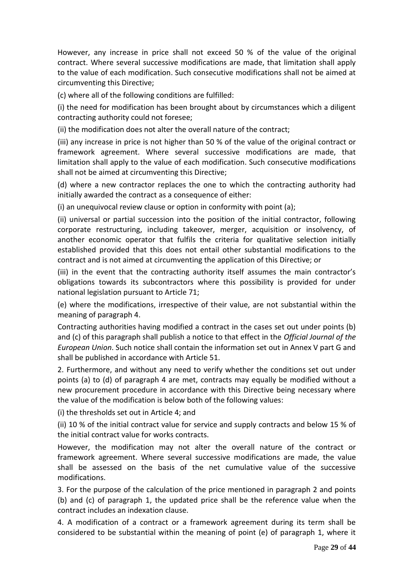However, any increase in price shall not exceed 50 % of the value of the original contract. Where several successive modifications are made, that limitation shall apply to the value of each modification. Such consecutive modifications shall not be aimed at circumventing this Directive;

(c) where all of the following conditions are fulfilled:

(i) the need for modification has been brought about by circumstances which a diligent contracting authority could not foresee;

(ii) the modification does not alter the overall nature of the contract;

(iii) any increase in price is not higher than 50 % of the value of the original contract or framework agreement. Where several successive modifications are made, that limitation shall apply to the value of each modification. Such consecutive modifications shall not be aimed at circumventing this Directive;

(d) where a new contractor replaces the one to which the contracting authority had initially awarded the contract as a consequence of either:

(i) an unequivocal review clause or option in conformity with point (a);

(ii) universal or partial succession into the position of the initial contractor, following corporate restructuring, including takeover, merger, acquisition or insolvency, of another economic operator that fulfils the criteria for qualitative selection initially established provided that this does not entail other substantial modifications to the contract and is not aimed at circumventing the application of this Directive; or

(iii) in the event that the contracting authority itself assumes the main contractor's obligations towards its subcontractors where this possibility is provided for under national legislation pursuant to Article 71;

(e) where the modifications, irrespective of their value, are not substantial within the meaning of paragraph 4.

Contracting authorities having modified a contract in the cases set out under points (b) and (c) of this paragraph shall publish a notice to that effect in the *Official Journal of the European Union*. Such notice shall contain the information set out in Annex V part G and shall be published in accordance with Article 51.

2. Furthermore, and without any need to verify whether the conditions set out under points (a) to (d) of paragraph 4 are met, contracts may equally be modified without a new procurement procedure in accordance with this Directive being necessary where the value of the modification is below both of the following values:

(i) the thresholds set out in Article 4; and

(ii) 10 % of the initial contract value for service and supply contracts and below 15 % of the initial contract value for works contracts.

However, the modification may not alter the overall nature of the contract or framework agreement. Where several successive modifications are made, the value shall be assessed on the basis of the net cumulative value of the successive modifications.

3. For the purpose of the calculation of the price mentioned in paragraph 2 and points (b) and (c) of paragraph 1, the updated price shall be the reference value when the contract includes an indexation clause.

4. A modification of a contract or a framework agreement during its term shall be considered to be substantial within the meaning of point (e) of paragraph 1, where it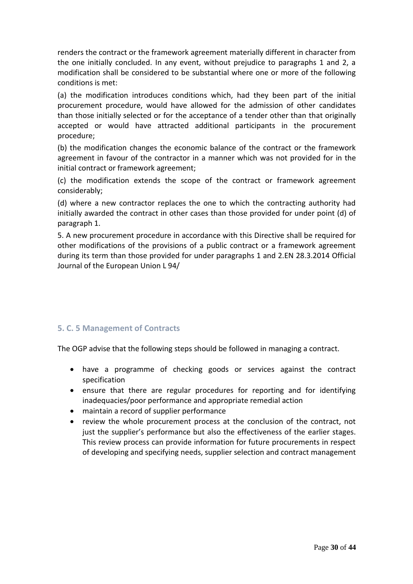renders the contract or the framework agreement materially different in character from the one initially concluded. In any event, without prejudice to paragraphs 1 and 2, a modification shall be considered to be substantial where one or more of the following conditions is met:

(a) the modification introduces conditions which, had they been part of the initial procurement procedure, would have allowed for the admission of other candidates than those initially selected or for the acceptance of a tender other than that originally accepted or would have attracted additional participants in the procurement procedure;

(b) the modification changes the economic balance of the contract or the framework agreement in favour of the contractor in a manner which was not provided for in the initial contract or framework agreement;

(c) the modification extends the scope of the contract or framework agreement considerably;

(d) where a new contractor replaces the one to which the contracting authority had initially awarded the contract in other cases than those provided for under point (d) of paragraph 1.

5. A new procurement procedure in accordance with this Directive shall be required for other modifications of the provisions of a public contract or a framework agreement during its term than those provided for under paragraphs 1 and 2.EN 28.3.2014 Official Journal of the European Union L 94/

#### **5. C. 5 Management of Contracts**

The OGP advise that the following steps should be followed in managing a contract.

- have a programme of checking goods or services against the contract specification
- ensure that there are regular procedures for reporting and for identifying inadequacies/poor performance and appropriate remedial action
- maintain a record of supplier performance
- review the whole procurement process at the conclusion of the contract, not just the supplier's performance but also the effectiveness of the earlier stages. This review process can provide information for future procurements in respect of developing and specifying needs, supplier selection and contract management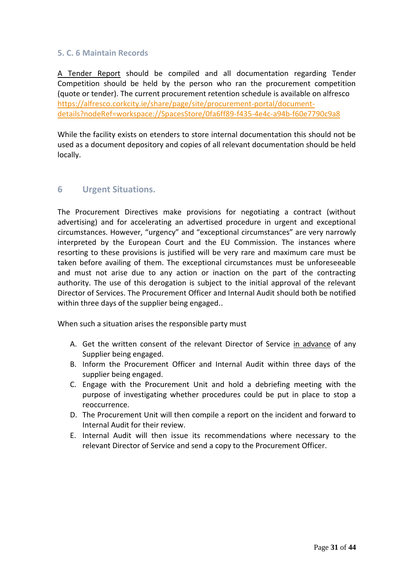#### **5. C. 6 Maintain Records**

A Tender Report should be compiled and all documentation regarding Tender Competition should be held by the person who ran the procurement competition (quote or tender). The current procurement retention schedule is available on alfresco [https://alfresco.corkcity.ie/share/page/site/procurement-portal/document](https://alfresco.corkcity.ie/share/page/site/procurement-portal/document-details?nodeRef=workspace://SpacesStore/0fa6ff89-f435-4e4c-a94b-f60e7790c9a8)[details?nodeRef=workspace://SpacesStore/0fa6ff89-f435-4e4c-a94b-f60e7790c9a8](https://alfresco.corkcity.ie/share/page/site/procurement-portal/document-details?nodeRef=workspace://SpacesStore/0fa6ff89-f435-4e4c-a94b-f60e7790c9a8)

While the facility exists on etenders to store internal documentation this should not be used as a document depository and copies of all relevant documentation should be held locally.

#### <span id="page-30-0"></span>**6 Urgent Situations.**

The Procurement Directives make provisions for negotiating a contract (without advertising) and for accelerating an advertised procedure in urgent and exceptional circumstances. However, "urgency" and "exceptional circumstances" are very narrowly interpreted by the European Court and the EU Commission. The instances where resorting to these provisions is justified will be very rare and maximum care must be taken before availing of them. The exceptional circumstances must be unforeseeable and must not arise due to any action or inaction on the part of the contracting authority. The use of this derogation is subject to the initial approval of the relevant Director of Services. The Procurement Officer and Internal Audit should both be notified within three days of the supplier being engaged..

When such a situation arises the responsible party must

- A. Get the written consent of the relevant Director of Service in advance of any Supplier being engaged.
- B. Inform the Procurement Officer and Internal Audit within three days of the supplier being engaged.
- C. Engage with the Procurement Unit and hold a debriefing meeting with the purpose of investigating whether procedures could be put in place to stop a reoccurrence.
- D. The Procurement Unit will then compile a report on the incident and forward to Internal Audit for their review.
- E. Internal Audit will then issue its recommendations where necessary to the relevant Director of Service and send a copy to the Procurement Officer.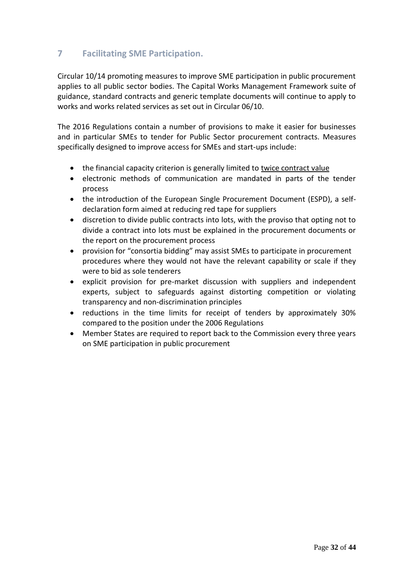#### **7 Facilitating SME Participation.**

Circular 10/14 promoting measures to improve SME participation in public procurement applies to all public sector bodies. The Capital Works Management Framework suite of guidance, standard contracts and generic template documents will continue to apply to works and works related services as set out in Circular 06/10.

The 2016 Regulations contain a number of provisions to make it easier for businesses and in particular SMEs to tender for Public Sector procurement contracts. Measures specifically designed to improve access for SMEs and start-ups include:

- the financial capacity criterion is generally limited to twice contract value
- electronic methods of communication are mandated in parts of the tender process
- the introduction of the European Single Procurement Document (ESPD), a selfdeclaration form aimed at reducing red tape for suppliers
- discretion to divide public contracts into lots, with the proviso that opting not to divide a contract into lots must be explained in the procurement documents or the report on the procurement process
- provision for "consortia bidding" may assist SMEs to participate in procurement procedures where they would not have the relevant capability or scale if they were to bid as sole tenderers
- explicit provision for pre-market discussion with suppliers and independent experts, subject to safeguards against distorting competition or violating transparency and non-discrimination principles
- reductions in the time limits for receipt of tenders by approximately 30% compared to the position under the 2006 Regulations
- Member States are required to report back to the Commission every three years on SME participation in public procurement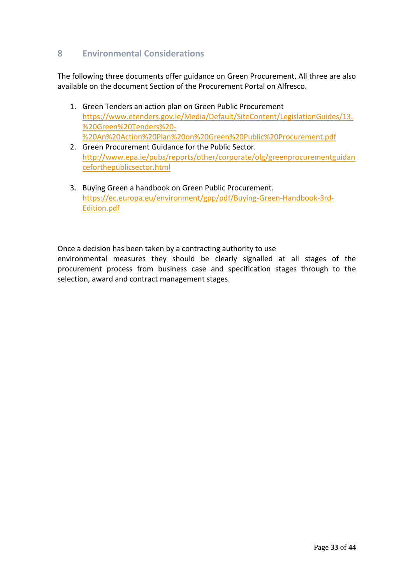#### **8 Environmental Considerations**

The following three documents offer guidance on Green Procurement. All three are also available on the document Section of the Procurement Portal on Alfresco.

- 1. Green Tenders an action plan on Green Public Procurement [https://www.etenders.gov.ie/Media/Default/SiteContent/LegislationGuides/13.](https://www.etenders.gov.ie/Media/Default/SiteContent/LegislationGuides/13.%20Green%20Tenders%20-%20An%20Action%20Plan%20on%20Green%20Public%20Procurement.pdf) [%20Green%20Tenders%20-](https://www.etenders.gov.ie/Media/Default/SiteContent/LegislationGuides/13.%20Green%20Tenders%20-%20An%20Action%20Plan%20on%20Green%20Public%20Procurement.pdf) [%20An%20Action%20Plan%20on%20Green%20Public%20Procurement.pdf](https://www.etenders.gov.ie/Media/Default/SiteContent/LegislationGuides/13.%20Green%20Tenders%20-%20An%20Action%20Plan%20on%20Green%20Public%20Procurement.pdf)
- 2. Green Procurement Guidance for the Public Sector. [http://www.epa.ie/pubs/reports/other/corporate/olg/greenprocurementguidan](http://www.epa.ie/pubs/reports/other/corporate/olg/greenprocurementguidanceforthepublicsector.html) [ceforthepublicsector.html](http://www.epa.ie/pubs/reports/other/corporate/olg/greenprocurementguidanceforthepublicsector.html)
- 3. Buying Green a handbook on Green Public Procurement. [https://ec.europa.eu/environment/gpp/pdf/Buying-Green-Handbook-3rd-](https://ec.europa.eu/environment/gpp/pdf/Buying-Green-Handbook-3rd-Edition.pdf)[Edition.pdf](https://ec.europa.eu/environment/gpp/pdf/Buying-Green-Handbook-3rd-Edition.pdf)

Once a decision has been taken by a contracting authority to use

environmental measures they should be clearly signalled at all stages of the procurement process from business case and specification stages through to the selection, award and contract management stages.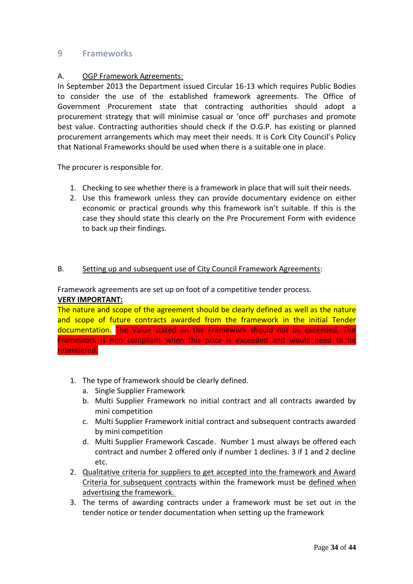#### **9 Frameworks**

#### A. OGP Framework Agreements:

In September 2013 the Department issued Circular 16-13 which requires Public Bodies to consider the use of the established framework agreements. The Office of Government Procurement state that contracting authorities should adopt a procurement strategy that will minimise casual or 'once off' purchases and promote best value. Contracting authorities should check if the O.G.P. has existing or planned procurement arrangements which may meet their needs. It is Cork City Council's Policy that National Frameworks should be used when there is a suitable one in place.

The procurer is responsible for.

- 1. Checking to see whether there is a framework in place that will suit their needs.
- 2. Use this framework unless they can provide documentary evidence on either economic or practical grounds why this framework isn't suitable. If this is the case they should state this clearly on the Pre Procurement Form with evidence to back up their findings.

#### B. Setting up and subsequent use of City Council Framework Agreements:

Framework agreements are set up on foot of a competitive tender process.

#### **VERY IMPORTANT:**

The nature and scope of the agreement should be clearly defined as well as the nature and scope of future contracts awarded from the framework in the initial Tender documentation. The Value stated on the Framework should not be exceeded. The Framework is non compliant when this price is exceeded and would need to be retendered.

- 1. The type of framework should be clearly defined.
	- a. Single Supplier Framework
	- b. Multi Supplier Framework no initial contract and all contracts awarded by mini competition
	- c. Multi Supplier Framework initial contract and subsequent contracts awarded by mini competition
	- d. Multi Supplier Framework Cascade. Number 1 must always be offered each contract and number 2 offered only if number 1 declines. 3 if 1 and 2 decline etc.
- 2. Qualitative criteria for suppliers to get accepted into the framework and Award Criteria for subsequent contracts within the framework must be defined when advertising the framework.
- 3. The terms of awarding contracts under a framework must be set out in the tender notice or tender documentation when setting up the framework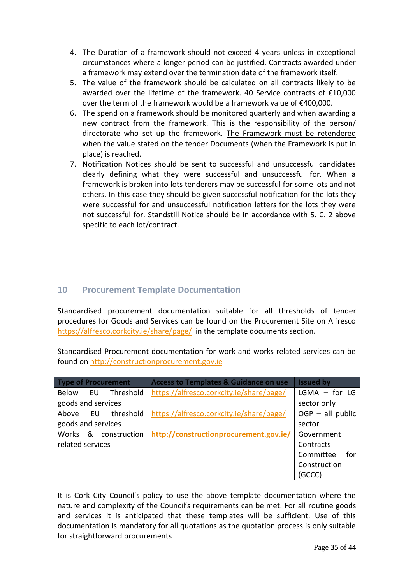- 4. The Duration of a framework should not exceed 4 years unless in exceptional circumstances where a longer period can be justified. Contracts awarded under a framework may extend over the termination date of the framework itself.
- 5. The value of the framework should be calculated on all contracts likely to be awarded over the lifetime of the framework. 40 Service contracts of €10,000 over the term of the framework would be a framework value of €400,000.
- 6. The spend on a framework should be monitored quarterly and when awarding a new contract from the framework. This is the responsibility of the person/ directorate who set up the framework. The Framework must be retendered when the value stated on the tender Documents (when the Framework is put in place) is reached.
- 7. Notification Notices should be sent to successful and unsuccessful candidates clearly defining what they were successful and unsuccessful for. When a framework is broken into lots tenderers may be successful for some lots and not others. In this case they should be given successful notification for the lots they were successful for and unsuccessful notification letters for the lots they were not successful for. Standstill Notice should be in accordance with 5. C. 2 above specific to each lot/contract.

#### **10 Procurement Template Documentation**

Standardised procurement documentation suitable for all thresholds of tender procedures for Goods and Services can be found on the Procurement Site on Alfresco <https://alfresco.corkcity.ie/share/page/>in the template documents section.

Standardised Procurement documentation for work and works related services can be found on [http://constructionprocurement.gov.ie](http://constructionprocurement.gov.ie/)

| <b>Type of Procurement</b> | <b>Access to Templates &amp; Guidance on use</b> | <b>Issued by</b>   |
|----------------------------|--------------------------------------------------|--------------------|
| Below EU Threshold         | https://alfresco.corkcity.ie/share/page/         | $LGMA - for LG$    |
| goods and services         |                                                  | sector only        |
| Above EU threshold         | https://alfresco.corkcity.ie/share/page/         | $OGP - all public$ |
| goods and services         |                                                  | sector             |
| Works & construction       | http://constructionprocurement.gov.ie/           | Government         |
| related services           |                                                  | Contracts          |
|                            |                                                  | Committee<br>for   |
|                            |                                                  | Construction       |
|                            |                                                  | (GCCC)             |

It is Cork City Council's policy to use the above template documentation where the nature and complexity of the Council's requirements can be met. For all routine goods and services it is anticipated that these templates will be sufficient. Use of this documentation is mandatory for all quotations as the quotation process is only suitable for straightforward procurements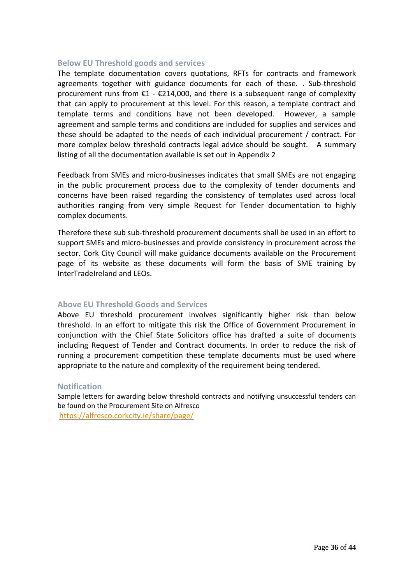#### **Below EU Threshold goods and services**

The template documentation covers quotations, RFTs for contracts and framework agreements together with guidance documents for each of these. . Sub-threshold procurement runs from  $\epsilon$ 1 -  $\epsilon$ 214,000, and there is a subsequent range of complexity that can apply to procurement at this level. For this reason, a template contract and template terms and conditions have not been developed. However, a sample agreement and sample terms and conditions are included for supplies and services and these should be adapted to the needs of each individual procurement / contract. For more complex below threshold contracts legal advice should be sought. A summary listing of all the documentation available is set out in Appendix 2

Feedback from SMEs and micro-businesses indicates that small SMEs are not engaging in the public procurement process due to the complexity of tender documents and concerns have been raised regarding the consistency of templates used across local authorities ranging from very simple Request for Tender documentation to highly complex documents.

Therefore these sub sub-threshold procurement documents shall be used in an effort to support SMEs and micro-businesses and provide consistency in procurement across the sector. Cork City Council will make guidance documents available on the Procurement page of its website as these documents will form the basis of SME training by InterTradeIreland and LEOs.

#### **Above EU Threshold Goods and Services**

Above EU threshold procurement involves significantly higher risk than below threshold. In an effort to mitigate this risk the Office of Government Procurement in conjunction with the Chief State Solicitors office has drafted a suite of documents including Request of Tender and Contract documents. In order to reduce the risk of running a procurement competition these template documents must be used where appropriate to the nature and complexity of the requirement being tendered.

#### **Notification**

Sample letters for awarding below threshold contracts and notifying unsuccessful tenders can be found on the Procurement Site on Alfresco <https://alfresco.corkcity.ie/share/page/>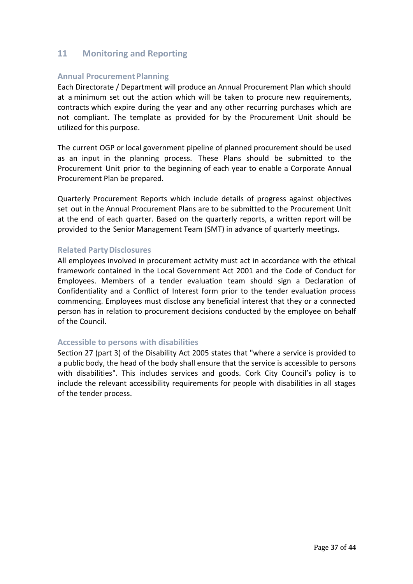#### <span id="page-36-0"></span>**11 Monitoring and Reporting**

#### **Annual Procurement Planning**

Each Directorate / Department will produce an Annual Procurement Plan which should at a minimum set out the action which will be taken to procure new requirements, contracts which expire during the year and any other recurring purchases which are not compliant. The template as provided for by the Procurement Unit should be utilized for this purpose.

The current OGP or local government pipeline of planned procurement should be used as an input in the planning process. These Plans should be submitted to the Procurement Unit prior to the beginning of each year to enable a Corporate Annual Procurement Plan be prepared.

Quarterly Procurement Reports which include details of progress against objectives set out in the Annual Procurement Plans are to be submitted to the Procurement Unit at the end of each quarter. Based on the quarterly reports, a written report will be provided to the Senior Management Team (SMT) in advance of quarterly meetings.

#### **Related PartyDisclosures**

All employees involved in procurement activity must act in accordance with the ethical framework contained in the Local Government Act 2001 and the Code of Conduct for Employees. Members of a tender evaluation team should sign a Declaration of Confidentiality and a Conflict of Interest form prior to the tender evaluation process commencing. Employees must disclose any beneficial interest that they or a connected person has in relation to procurement decisions conducted by the employee on behalf of the Council.

#### **Accessible to persons with disabilities**

Section 27 (part 3) of the Disability Act 2005 states that "where a service is provided to a public body, the head of the body shall ensure that the service is accessible to persons with disabilities". This includes services and goods. Cork City Council's policy is to include the relevant accessibility requirements for people with disabilities in all stages of the tender process.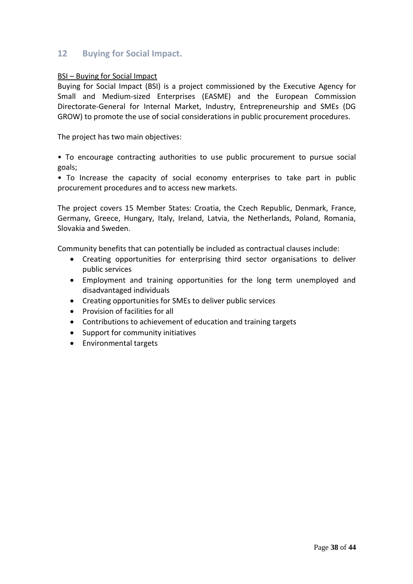#### **12 Buying for Social Impact.**

#### BSI – Buying for Social Impact

Buying for Social Impact (BSI) is a project commissioned by the Executive Agency for Small and Medium-sized Enterprises (EASME) and the European Commission Directorate-General for Internal Market, Industry, Entrepreneurship and SMEs (DG GROW) to promote the use of social considerations in public procurement procedures.

The project has two main objectives:

• To encourage contracting authorities to use public procurement to pursue social goals;

• To Increase the capacity of social economy enterprises to take part in public procurement procedures and to access new markets.

The project covers 15 Member States: Croatia, the Czech Republic, Denmark, France, Germany, Greece, Hungary, Italy, Ireland, Latvia, the Netherlands, Poland, Romania, Slovakia and Sweden.

Community benefits that can potentially be included as contractual clauses include:

- Creating opportunities for enterprising third sector organisations to deliver public services
- Employment and training opportunities for the long term unemployed and disadvantaged individuals
- Creating opportunities for SMEs to deliver public services
- Provision of facilities for all
- Contributions to achievement of education and training targets
- Support for community initiatives
- Environmental targets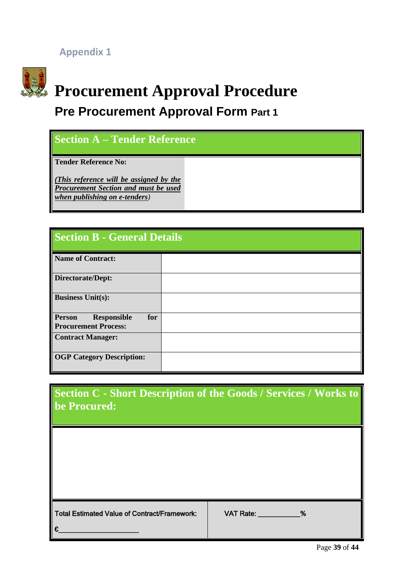**Appendix 1**



## **Procurement Approval Procedure**

## **Pre Procurement Approval Form Part 1**

## **Section A – Tender Reference Tender Reference No:** *(This reference will be assigned by the Procurement Section and must be used when publishing on e-tenders)*

| <b>Section B - General Details</b>                                        |  |  |  |
|---------------------------------------------------------------------------|--|--|--|
| <b>Name of Contract:</b>                                                  |  |  |  |
| <b>Directorate/Dept:</b>                                                  |  |  |  |
| <b>Business Unit(s):</b>                                                  |  |  |  |
| <b>Person</b><br>for<br><b>Responsible</b><br><b>Procurement Process:</b> |  |  |  |
| <b>Contract Manager:</b>                                                  |  |  |  |
| <b>OGP Category Description:</b>                                          |  |  |  |

| Section C - Short Description of the Goods / Services / Works to<br>be Procured: |                 |
|----------------------------------------------------------------------------------|-----------------|
|                                                                                  |                 |
|                                                                                  |                 |
| <b>Total Estimated Value of Contract/Framework:</b><br>€                         | VAT Rate: Watch |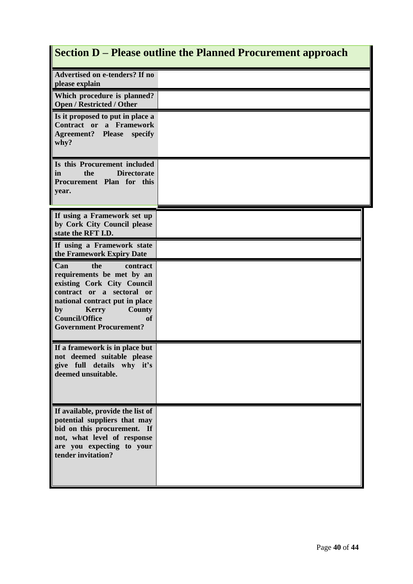## **Section D – Please outline the Planned Procurement approach**

| Advertised on e-tenders? If no<br>please explain                                                                                                                                                                                                  |  |
|---------------------------------------------------------------------------------------------------------------------------------------------------------------------------------------------------------------------------------------------------|--|
| Which procedure is planned?<br><b>Open / Restricted / Other</b>                                                                                                                                                                                   |  |
| Is it proposed to put in place a<br>Contract or a Framework<br><b>Agreement?</b> Please<br>specify<br>why?                                                                                                                                        |  |
| Is this Procurement included<br>in<br>the<br><b>Directorate</b><br>Procurement Plan for this<br>year.                                                                                                                                             |  |
| If using a Framework set up<br>by Cork City Council please<br>state the RFT I.D.                                                                                                                                                                  |  |
| If using a Framework state<br>the Framework Expiry Date                                                                                                                                                                                           |  |
| Can<br>the<br>contract<br>requirements be met by an<br>existing Cork City Council<br>contract or a sectoral or<br>national contract put in place<br><b>Kerry</b><br>County<br>by<br><b>Council/Office</b><br>оť<br><b>Government Procurement?</b> |  |
| If a framework is in place but<br>not deemed suitable please<br>give full details why it's<br>deemed unsuitable.                                                                                                                                  |  |
| If available, provide the list of<br>potential suppliers that may<br>bid on this procurement. If<br>not, what level of response<br>are you expecting to your<br>tender invitation?                                                                |  |

I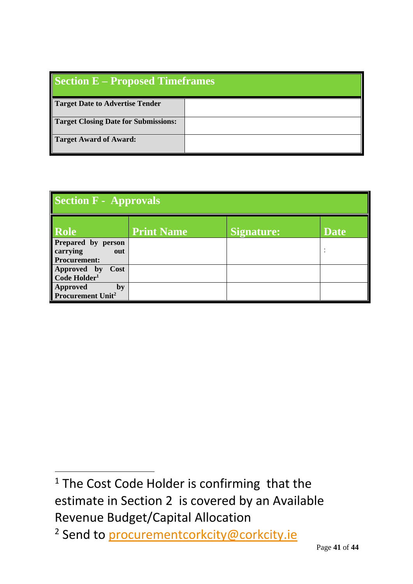| <b>Section E – Proposed Timeframes</b>      |  |  |
|---------------------------------------------|--|--|
| <b>Target Date to Advertise Tender</b>      |  |  |
| <b>Target Closing Date for Submissions:</b> |  |  |
| <b>Target Award of Award:</b>               |  |  |

| Section F - Approvals                                  |                   |                   |             |  |  |
|--------------------------------------------------------|-------------------|-------------------|-------------|--|--|
| Role                                                   | <b>Print Name</b> | <b>Signature:</b> | <b>Date</b> |  |  |
| Prepared by person<br>carrying out<br>Procurement:     |                   |                   |             |  |  |
| Approved by<br>Code Holder <sup>1</sup><br>Cost        |                   |                   |             |  |  |
| <b>Approved</b><br>by<br>Procurement Unit <sup>2</sup> |                   |                   |             |  |  |

<sup>&</sup>lt;sup>1</sup> The Cost Code Holder is confirming that the estimate in Section 2 is covered by an Available Revenue Budget/Capital Allocation

<sup>&</sup>lt;sup>2</sup> Send to [procurementcorkcity@corkcity.ie](mailto:procurementcorkcity@corkcity.ie)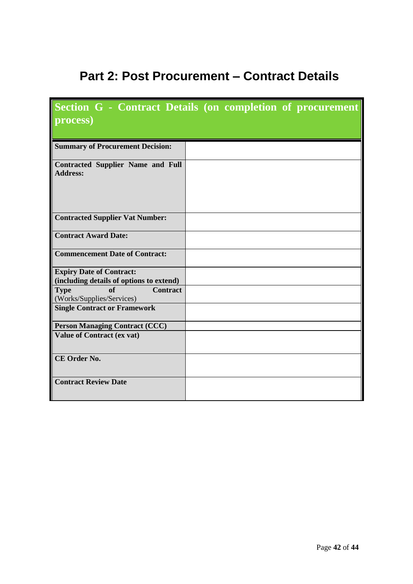## **Part 2: Post Procurement – Contract Details**

|                                                                             | Section G - Contract Details (on completion of procurement |
|-----------------------------------------------------------------------------|------------------------------------------------------------|
| process)                                                                    |                                                            |
| <b>Summary of Procurement Decision:</b>                                     |                                                            |
| <b>Contracted Supplier Name and Full</b><br><b>Address:</b>                 |                                                            |
| <b>Contracted Supplier Vat Number:</b>                                      |                                                            |
| <b>Contract Award Date:</b>                                                 |                                                            |
| <b>Commencement Date of Contract:</b>                                       |                                                            |
| <b>Expiry Date of Contract:</b><br>(including details of options to extend) |                                                            |
| <b>Contract</b><br><b>Type</b><br>of<br>(Works/Supplies/Services)           |                                                            |
| <b>Single Contract or Framework</b>                                         |                                                            |
| <b>Person Managing Contract (CCC)</b>                                       |                                                            |
| <b>Value of Contract (ex vat)</b>                                           |                                                            |
| CE Order No.                                                                |                                                            |
| <b>Contract Review Date</b>                                                 |                                                            |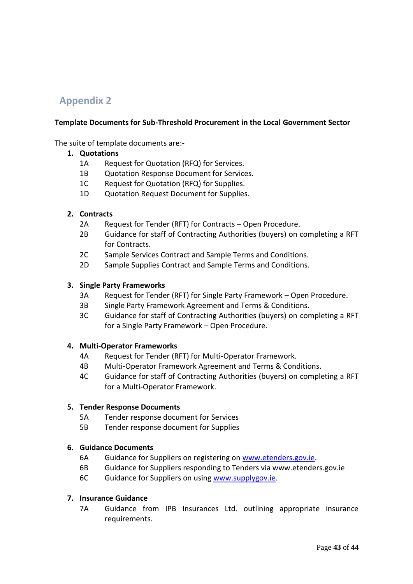#### **Appendix 2**

#### **Template Documents for Sub-Threshold Procurement in the Local Government Sector**

The suite of template documents are:-

#### **1. Quotations**

- 1A Request for Quotation (RFQ) for Services.
- 1B Quotation Response Document for Services.
- 1C Request for Quotation (RFQ) for Supplies.
- 1D Quotation Request Document for Supplies.

#### **2. Contracts**

- 2A Request for Tender (RFT) for Contracts Open Procedure.
- 2B Guidance for staff of Contracting Authorities (buyers) on completing a RFT for Contracts.
- 2C Sample Services Contract and Sample Terms and Conditions.
- 2D Sample Supplies Contract and Sample Terms and Conditions.

#### **3. Single Party Frameworks**

- 3A Request for Tender (RFT) for Single Party Framework Open Procedure.
- 3B Single Party Framework Agreement and Terms & Conditions.
- 3C Guidance for staff of Contracting Authorities (buyers) on completing a RFT for a Single Party Framework – Open Procedure.

#### **4. Multi-Operator Frameworks**

- 4A Request for Tender (RFT) for Multi-Operator Framework.
- 4B Multi-Operator Framework Agreement and Terms & Conditions.
- 4C Guidance for staff of Contracting Authorities (buyers) on completing a RFT for a Multi-Operator Framework.

#### **5. Tender Response Documents**

- 5A Tender response document for Services
- 5B Tender response document for Supplies

#### **6. Guidance Documents**

- 6A Guidance for Suppliers on registering on [www.etenders.gov.ie.](http://www.etenders.gov.ie/)
- 6B Guidance for Suppliers responding to Tenders via www.etenders.gov.ie
- 6C Guidance for Suppliers on using [www.supplygov.ie.](http://www.supplygov.ie/)

#### **7. Insurance Guidance**

7A Guidance from IPB Insurances Ltd. outlining appropriate insurance requirements.